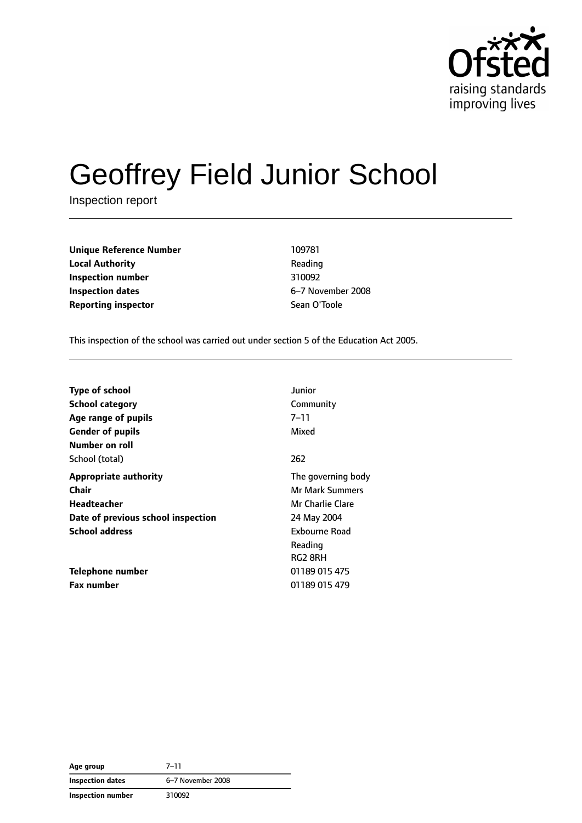

# Geoffrey Field Junior School

Inspection report

**Unique Reference Number** 109781 **Local Authority Reading Inspection number** 310092 **Inspection dates** 6–7 November 2008 **Reporting inspector** Sean O'Toole

This inspection of the school was carried out under section 5 of the Education Act 2005.

| <b>Type of school</b>              | Junior                 |
|------------------------------------|------------------------|
| <b>School category</b>             | Community              |
| Age range of pupils                | 7–11                   |
| <b>Gender of pupils</b>            | Mixed                  |
| Number on roll                     |                        |
| School (total)                     | 262                    |
| <b>Appropriate authority</b>       | The governing body     |
| Chair                              | <b>Mr Mark Summers</b> |
| Headteacher                        | Mr Charlie Clare       |
| Date of previous school inspection | 24 May 2004            |
| <b>School address</b>              | Exbourne Road          |
|                                    | Reading                |
|                                    | RG2 8RH                |
| Telephone number                   | 01189 015 475          |
| <b>Fax number</b>                  | 01189 015 479          |

| Age group                | $7 - 11$          |
|--------------------------|-------------------|
| <b>Inspection dates</b>  | 6-7 November 2008 |
| <b>Inspection number</b> | 310092            |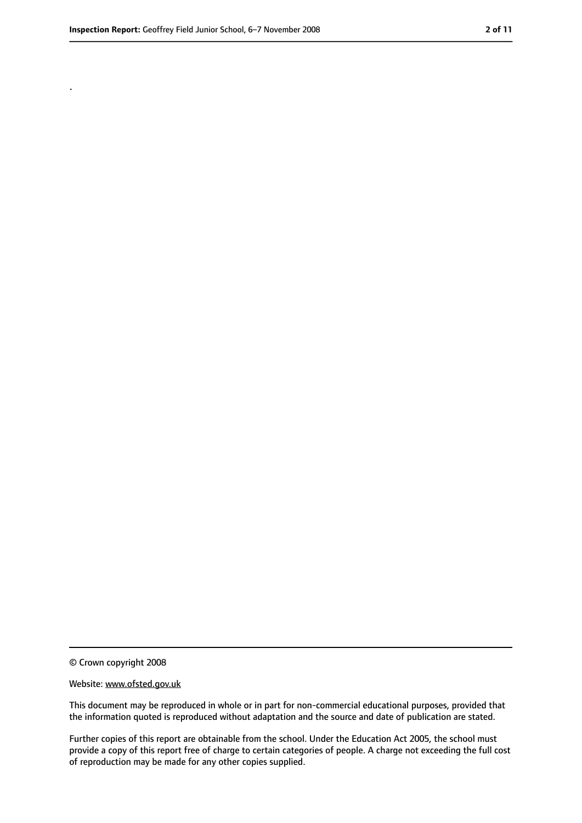.

<sup>©</sup> Crown copyright 2008

Website: www.ofsted.gov.uk

This document may be reproduced in whole or in part for non-commercial educational purposes, provided that the information quoted is reproduced without adaptation and the source and date of publication are stated.

Further copies of this report are obtainable from the school. Under the Education Act 2005, the school must provide a copy of this report free of charge to certain categories of people. A charge not exceeding the full cost of reproduction may be made for any other copies supplied.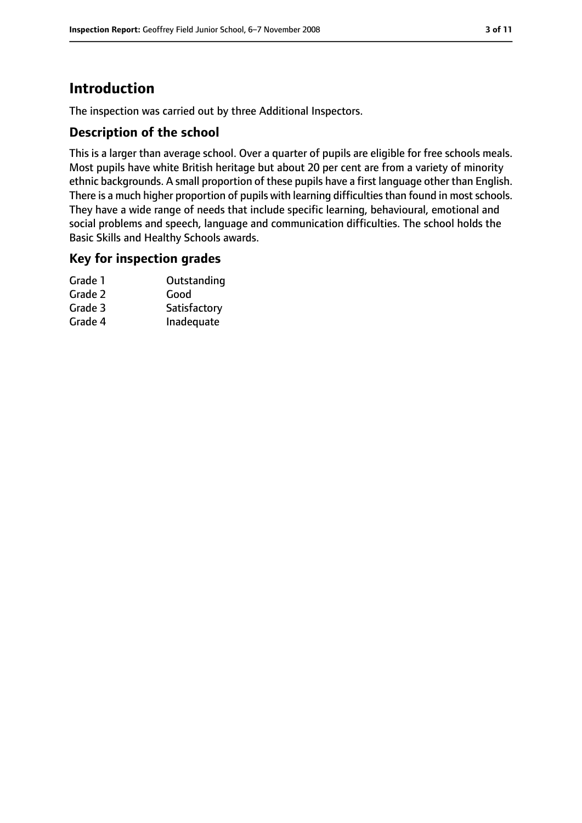# **Introduction**

The inspection was carried out by three Additional Inspectors.

#### **Description of the school**

This is a larger than average school. Over a quarter of pupils are eligible for free schools meals. Most pupils have white British heritage but about 20 per cent are from a variety of minority ethnic backgrounds. A small proportion of these pupils have a first language other than English. There is a much higher proportion of pupils with learning difficulties than found in most schools. They have a wide range of needs that include specific learning, behavioural, emotional and social problems and speech, language and communication difficulties. The school holds the Basic Skills and Healthy Schools awards.

#### **Key for inspection grades**

| Grade 1 | Outstanding  |
|---------|--------------|
| Grade 2 | Good         |
| Grade 3 | Satisfactory |
| Grade 4 | Inadequate   |
|         |              |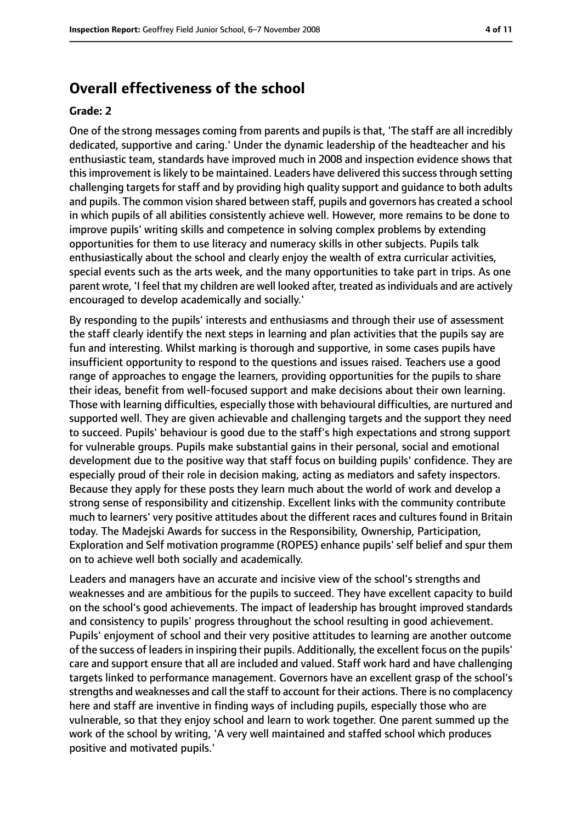## **Overall effectiveness of the school**

#### **Grade: 2**

One of the strong messages coming from parents and pupils is that, 'The staff are all incredibly dedicated, supportive and caring.' Under the dynamic leadership of the headteacher and his enthusiastic team, standards have improved much in 2008 and inspection evidence shows that this improvement is likely to be maintained. Leaders have delivered this success through setting challenging targets for staff and by providing high quality support and guidance to both adults and pupils. The common vision shared between staff, pupils and governors has created a school in which pupils of all abilities consistently achieve well. However, more remains to be done to improve pupils' writing skills and competence in solving complex problems by extending opportunities for them to use literacy and numeracy skills in other subjects. Pupils talk enthusiastically about the school and clearly enjoy the wealth of extra curricular activities, special events such as the arts week, and the many opportunities to take part in trips. As one parent wrote, 'I feel that my children are well looked after, treated as individuals and are actively encouraged to develop academically and socially.'

By responding to the pupils' interests and enthusiasms and through their use of assessment the staff clearly identify the next steps in learning and plan activities that the pupils say are fun and interesting. Whilst marking is thorough and supportive, in some cases pupils have insufficient opportunity to respond to the questions and issues raised. Teachers use a good range of approaches to engage the learners, providing opportunities for the pupils to share their ideas, benefit from well-focused support and make decisions about their own learning. Those with learning difficulties, especially those with behavioural difficulties, are nurtured and supported well. They are given achievable and challenging targets and the support they need to succeed. Pupils' behaviour is good due to the staff's high expectations and strong support for vulnerable groups. Pupils make substantial gains in their personal, social and emotional development due to the positive way that staff focus on building pupils' confidence. They are especially proud of their role in decision making, acting as mediators and safety inspectors. Because they apply for these posts they learn much about the world of work and develop a strong sense of responsibility and citizenship. Excellent links with the community contribute much to learners' very positive attitudes about the different races and cultures found in Britain today. The Madejski Awards for success in the Responsibility, Ownership, Participation, Exploration and Self motivation programme (ROPES) enhance pupils' self belief and spur them on to achieve well both socially and academically.

Leaders and managers have an accurate and incisive view of the school's strengths and weaknesses and are ambitious for the pupils to succeed. They have excellent capacity to build on the school's good achievements. The impact of leadership has brought improved standards and consistency to pupils' progress throughout the school resulting in good achievement. Pupils' enjoyment of school and their very positive attitudes to learning are another outcome of the success of leadersin inspiring their pupils. Additionally, the excellent focus on the pupils' care and support ensure that all are included and valued. Staff work hard and have challenging targets linked to performance management. Governors have an excellent grasp of the school's strengths and weaknesses and call the staff to account for their actions. There is no complacency here and staff are inventive in finding ways of including pupils, especially those who are vulnerable, so that they enjoy school and learn to work together. One parent summed up the work of the school by writing, 'A very well maintained and staffed school which produces positive and motivated pupils.'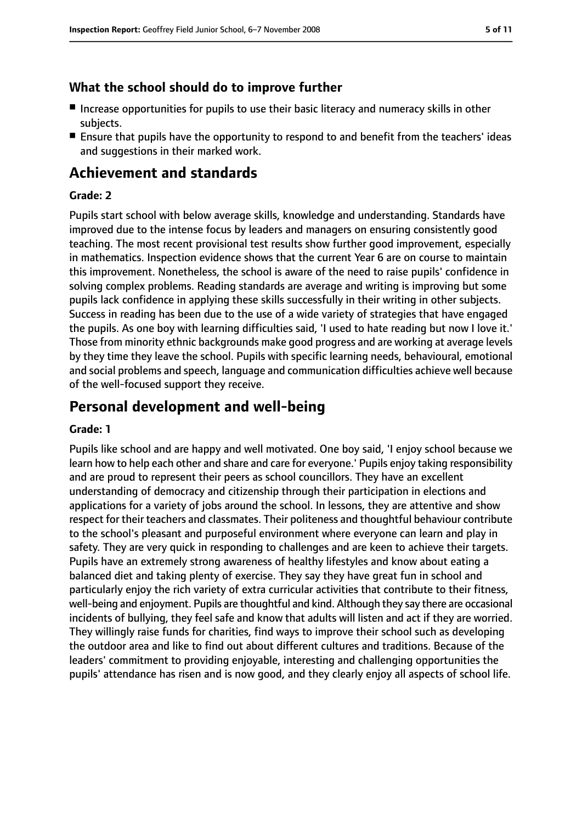### **What the school should do to improve further**

- Increase opportunities for pupils to use their basic literacy and numeracy skills in other subjects.
- Ensure that pupils have the opportunity to respond to and benefit from the teachers' ideas and suggestions in their marked work.

# **Achievement and standards**

#### **Grade: 2**

Pupils start school with below average skills, knowledge and understanding. Standards have improved due to the intense focus by leaders and managers on ensuring consistently good teaching. The most recent provisional test results show further good improvement, especially in mathematics. Inspection evidence shows that the current Year 6 are on course to maintain this improvement. Nonetheless, the school is aware of the need to raise pupils' confidence in solving complex problems. Reading standards are average and writing is improving but some pupils lack confidence in applying these skills successfully in their writing in other subjects. Success in reading has been due to the use of a wide variety of strategies that have engaged the pupils. As one boy with learning difficulties said, 'I used to hate reading but now I love it.' Those from minority ethnic backgrounds make good progress and are working at average levels by they time they leave the school. Pupils with specific learning needs, behavioural, emotional and social problems and speech, language and communication difficulties achieve well because of the well-focused support they receive.

# **Personal development and well-being**

#### **Grade: 1**

Pupils like school and are happy and well motivated. One boy said, 'I enjoy school because we learn how to help each other and share and care for everyone.' Pupils enjoy taking responsibility and are proud to represent their peers as school councillors. They have an excellent understanding of democracy and citizenship through their participation in elections and applications for a variety of jobs around the school. In lessons, they are attentive and show respect for their teachers and classmates. Their politeness and thoughtful behaviour contribute to the school's pleasant and purposeful environment where everyone can learn and play in safety. They are very quick in responding to challenges and are keen to achieve their targets. Pupils have an extremely strong awareness of healthy lifestyles and know about eating a balanced diet and taking plenty of exercise. They say they have great fun in school and particularly enjoy the rich variety of extra curricular activities that contribute to their fitness, well-being and enjoyment. Pupils are thoughtful and kind. Although they say there are occasional incidents of bullying, they feel safe and know that adults will listen and act if they are worried. They willingly raise funds for charities, find ways to improve their school such as developing the outdoor area and like to find out about different cultures and traditions. Because of the leaders' commitment to providing enjoyable, interesting and challenging opportunities the pupils' attendance has risen and is now good, and they clearly enjoy all aspects of school life.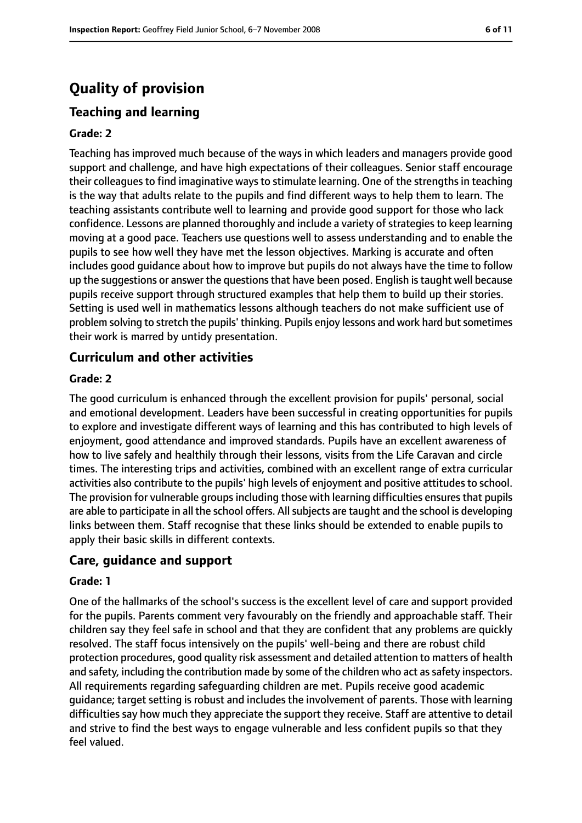# **Quality of provision**

## **Teaching and learning**

#### **Grade: 2**

Teaching has improved much because of the ways in which leaders and managers provide good support and challenge, and have high expectations of their colleagues. Senior staff encourage their colleagues to find imaginative ways to stimulate learning. One of the strengths in teaching is the way that adults relate to the pupils and find different ways to help them to learn. The teaching assistants contribute well to learning and provide good support for those who lack confidence. Lessons are planned thoroughly and include a variety of strategies to keep learning moving at a good pace. Teachers use questions well to assess understanding and to enable the pupils to see how well they have met the lesson objectives. Marking is accurate and often includes good guidance about how to improve but pupils do not always have the time to follow up the suggestions or answer the questions that have been posed. English is taught well because pupils receive support through structured examples that help them to build up their stories. Setting is used well in mathematics lessons although teachers do not make sufficient use of problem solving to stretch the pupils' thinking. Pupils enjoy lessons and work hard but sometimes their work is marred by untidy presentation.

#### **Curriculum and other activities**

#### **Grade: 2**

The good curriculum is enhanced through the excellent provision for pupils' personal, social and emotional development. Leaders have been successful in creating opportunities for pupils to explore and investigate different ways of learning and this has contributed to high levels of enjoyment, good attendance and improved standards. Pupils have an excellent awareness of how to live safely and healthily through their lessons, visits from the Life Caravan and circle times. The interesting trips and activities, combined with an excellent range of extra curricular activities also contribute to the pupils' high levels of enjoyment and positive attitudes to school. The provision for vulnerable groups including those with learning difficulties ensures that pupils are able to participate in all the school offers. All subjects are taught and the school is developing links between them. Staff recognise that these links should be extended to enable pupils to apply their basic skills in different contexts.

#### **Care, guidance and support**

#### **Grade: 1**

One of the hallmarks of the school's success is the excellent level of care and support provided for the pupils. Parents comment very favourably on the friendly and approachable staff. Their children say they feel safe in school and that they are confident that any problems are quickly resolved. The staff focus intensively on the pupils' well-being and there are robust child protection procedures, good quality risk assessment and detailed attention to matters of health and safety, including the contribution made by some of the children who act as safety inspectors. All requirements regarding safeguarding children are met. Pupils receive good academic guidance; target setting is robust and includes the involvement of parents. Those with learning difficulties say how much they appreciate the support they receive. Staff are attentive to detail and strive to find the best ways to engage vulnerable and less confident pupils so that they feel valued.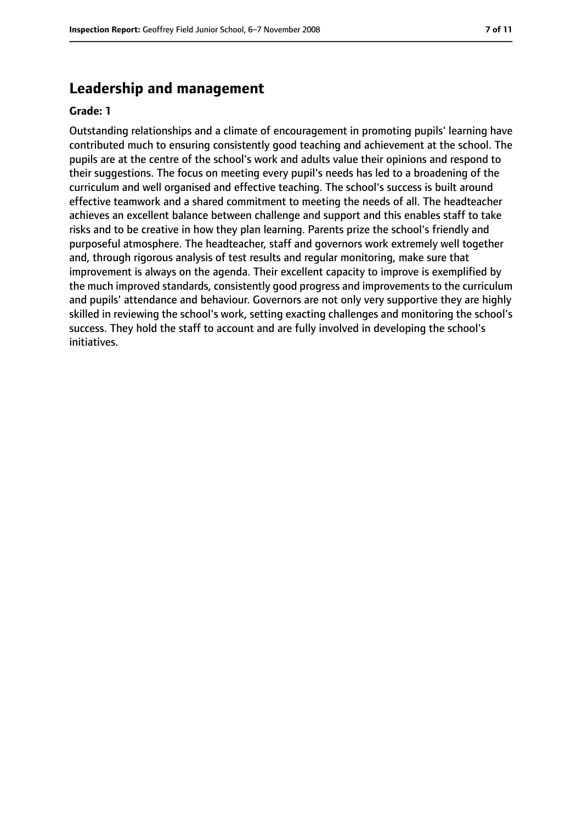## **Leadership and management**

#### **Grade: 1**

Outstanding relationships and a climate of encouragement in promoting pupils' learning have contributed much to ensuring consistently good teaching and achievement at the school. The pupils are at the centre of the school's work and adults value their opinions and respond to their suggestions. The focus on meeting every pupil's needs has led to a broadening of the curriculum and well organised and effective teaching. The school's success is built around effective teamwork and a shared commitment to meeting the needs of all. The headteacher achieves an excellent balance between challenge and support and this enables staff to take risks and to be creative in how they plan learning. Parents prize the school's friendly and purposeful atmosphere. The headteacher, staff and governors work extremely well together and, through rigorous analysis of test results and regular monitoring, make sure that improvement is always on the agenda. Their excellent capacity to improve is exemplified by the much improved standards, consistently good progress and improvements to the curriculum and pupils' attendance and behaviour. Governors are not only very supportive they are highly skilled in reviewing the school's work, setting exacting challenges and monitoring the school's success. They hold the staff to account and are fully involved in developing the school's initiatives.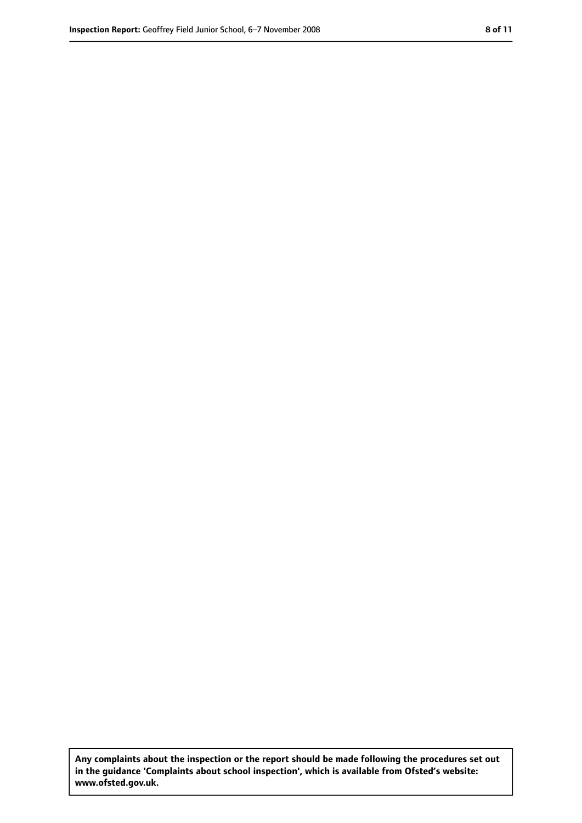**Any complaints about the inspection or the report should be made following the procedures set out in the guidance 'Complaints about school inspection', which is available from Ofsted's website: www.ofsted.gov.uk.**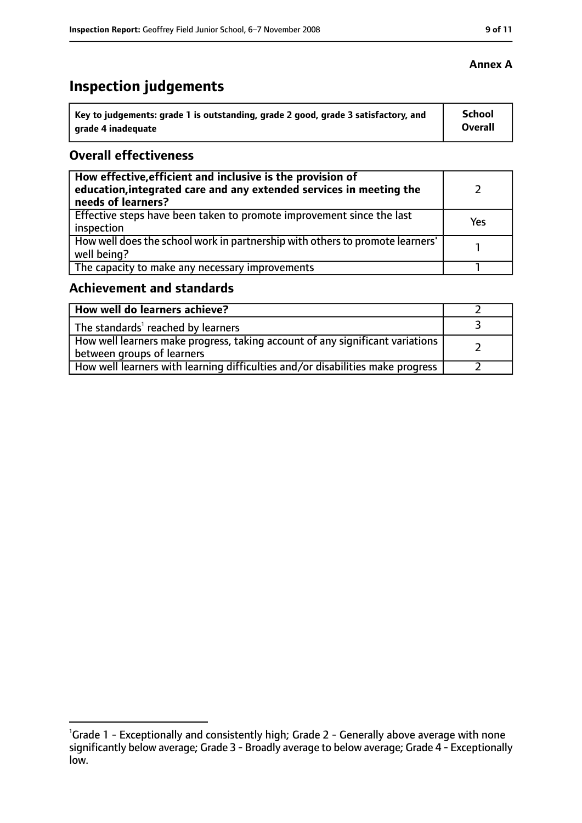# **Inspection judgements**

| Key to judgements: grade 1 is outstanding, grade 2 good, grade 3 satisfactory, and | <b>School</b> |
|------------------------------------------------------------------------------------|---------------|
| arade 4 inadequate                                                                 | Overall       |

#### **Overall effectiveness**

| How effective, efficient and inclusive is the provision of<br>education, integrated care and any extended services in meeting the<br>needs of learners? |     |
|---------------------------------------------------------------------------------------------------------------------------------------------------------|-----|
| Effective steps have been taken to promote improvement since the last<br>inspection                                                                     | Yes |
| How well does the school work in partnership with others to promote learners'<br>well being?                                                            |     |
| The capacity to make any necessary improvements                                                                                                         |     |

# **Achievement and standards**

| How well do learners achieve?                                                                                 |  |
|---------------------------------------------------------------------------------------------------------------|--|
| The standards <sup>1</sup> reached by learners                                                                |  |
| How well learners make progress, taking account of any significant variations  <br>between groups of learners |  |
| How well learners with learning difficulties and/or disabilities make progress                                |  |

<sup>&</sup>lt;sup>1</sup>Grade 1 - Exceptionally and consistently high; Grade 2 - Generally above average with none significantly below average; Grade 3 - Broadly average to below average; Grade 4 - Exceptionally low.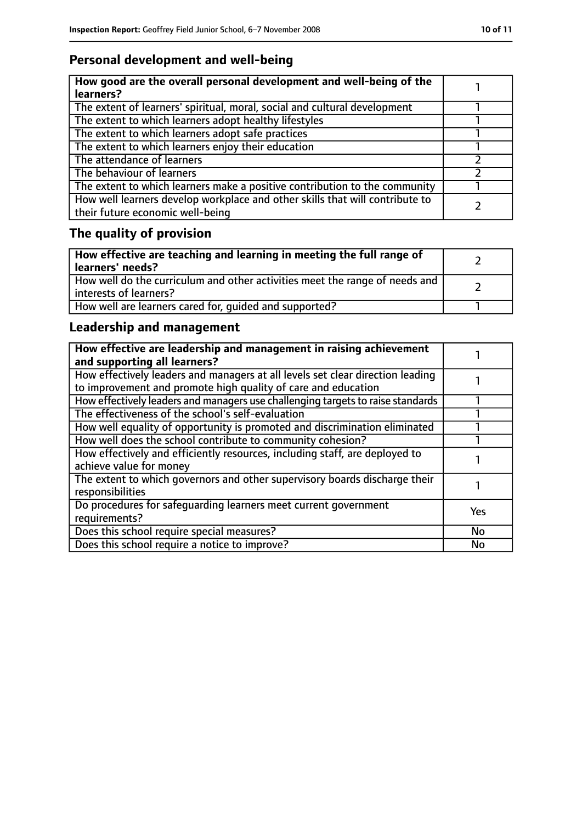# **Personal development and well-being**

| How good are the overall personal development and well-being of the<br>learners?                                 |  |
|------------------------------------------------------------------------------------------------------------------|--|
| The extent of learners' spiritual, moral, social and cultural development                                        |  |
| The extent to which learners adopt healthy lifestyles                                                            |  |
| The extent to which learners adopt safe practices                                                                |  |
| The extent to which learners enjoy their education                                                               |  |
| The attendance of learners                                                                                       |  |
| The behaviour of learners                                                                                        |  |
| The extent to which learners make a positive contribution to the community                                       |  |
| How well learners develop workplace and other skills that will contribute to<br>their future economic well-being |  |

# **The quality of provision**

| How effective are teaching and learning in meeting the full range of<br>learners' needs?              |  |
|-------------------------------------------------------------------------------------------------------|--|
| How well do the curriculum and other activities meet the range of needs and<br>interests of learners? |  |
| How well are learners cared for, quided and supported?                                                |  |

# **Leadership and management**

| How effective are leadership and management in raising achievement<br>and supporting all learners?                                              |     |
|-------------------------------------------------------------------------------------------------------------------------------------------------|-----|
| How effectively leaders and managers at all levels set clear direction leading<br>to improvement and promote high quality of care and education |     |
| How effectively leaders and managers use challenging targets to raise standards                                                                 |     |
| The effectiveness of the school's self-evaluation                                                                                               |     |
| How well equality of opportunity is promoted and discrimination eliminated                                                                      |     |
| How well does the school contribute to community cohesion?                                                                                      |     |
| How effectively and efficiently resources, including staff, are deployed to<br>achieve value for money                                          |     |
| The extent to which governors and other supervisory boards discharge their<br>responsibilities                                                  |     |
| Do procedures for safequarding learners meet current government<br>requirements?                                                                | Yes |
| Does this school require special measures?                                                                                                      | No  |
| Does this school require a notice to improve?                                                                                                   | No  |